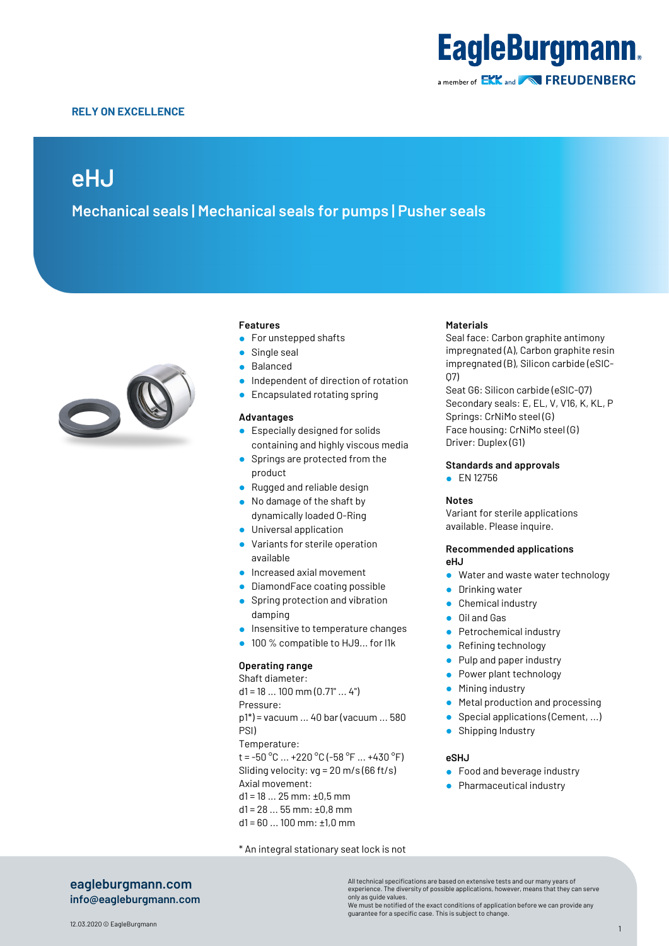# **EagleBurgmann.** a member of EKK and **NN** FREUDENBERG

# **RELY ON EXCELLENCE**

# **[eHJ](https://www.eagleburgmann.com/en/products/mechanical-seals/mechanical-seals-for-pumps/pusher-seals/ehj)**

**[Mechanical seals](https://www.eagleburgmann.com/en/products/mechanical-seals) | [Mechanical seals for pumps](https://www.eagleburgmann.com/en/products/mechanical-seals/mechanical-seals-for-pumps) | [Pusher seals](https://www.eagleburgmann.com/en/products/mechanical-seals/mechanical-seals-for-pumps/pusher-seals)**



#### **Features**

- **•** For unstepped shafts
- Single seal
- Balanced
- Independent of direction of rotation
- Encapsulated rotating spring

#### **Advantages**

- Especially designed for solids containing and highly viscous media
- Springs are protected from the product
- Rugged and reliable design
- No damage of the shaft by dynamically loaded O-Ring
- **•** Universal application
- Variants for sterile operation available
- Increased axial movement
- DiamondFace coating possible
- Spring protection and vibration damping
- **•** Insensitive to temperature changes
- 100 % compatible to HJ9... for l1k

#### **Operating range**

Shaft diameter:  $d1 = 18 ... 100$  mm  $(0.71" ... 4")$ Pressure: p1\*) = vacuum ... 40 bar (vacuum ... 580 PSI) Temperature:  $t = -50 °C ... +220 °C (-58 °F ... +430 °F)$ Sliding velocity: vg = 20 m/s (66 ft/s) Axial movement:  $d1 = 18 ... 25$  mm:  $\pm 0.5$  mm  $d1 = 28 ... 55$  mm:  $\pm 0.8$  mm

## $d1 = 60 ... 100$  mm:  $\pm 1.0$  mm

\* An integral stationary seat lock is not

#### **Materials**

Seal face: Carbon graphite antimony impregnated (A), Carbon graphite resin impregnated (B), Silicon carbide (eSIC-Q7)

Seat G6: Silicon carbide (eSIC-Q7) Secondary seals: E, EL, V, V16, K, KL, P Springs: CrNiMo steel (G) Face housing: CrNiMo steel (G) Driver: Duplex (G1)

#### **Standards and approvals**

**•** EN 12756

#### **Notes**

Variant for sterile applications available. Please inquire.

#### **Recommended applications eHJ**

- Water and waste water technology
- **•** Drinking water
- Chemical industry
- Oil and Gas
- Petrochemical industry
- Refining technology
- Pulp and paper industry
- Power plant technology
- Mining industry
- 
- Metal production and processing<br>• Special applications (Cement. )
- Special applications (Cement, ...)
- Shipping Industry

#### **eSHJ**

- Food and beverage industry
- Pharmaceutical industry

**[eagleburgmann.com](https://www.eagleburgmann.com) [info@eagleburgmann.com](mailto:info@eagleburgmann.com)**

We must be notified of the exact conditions of application before we can provide any guarantee for a specific case. This is subject to change.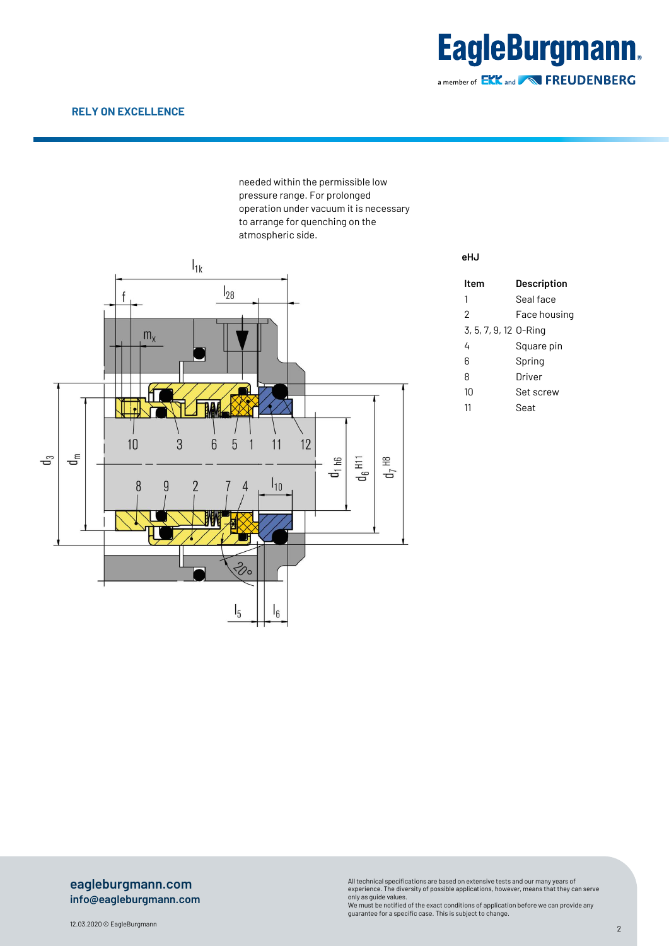

## **RELY ON EXCELLENCE**

needed within the permissible low pressure range. For prolonged operation under vacuum it is necessary to arrange for quenching on the atmospheric side.



**eHJ**

| ltem                  | Description  |
|-----------------------|--------------|
| 1                     | Seal face    |
| 2                     | Face housing |
| 3, 5, 7, 9, 12 O-Ring |              |
| 4                     | Square pin   |
| 6                     | Spring       |
| 8                     | Driver       |
| 10                    | Set screw    |
| 11                    | Seat         |
|                       |              |

# **[eagleburgmann.com](https://www.eagleburgmann.com) [info@eagleburgmann.com](mailto:info@eagleburgmann.com)**

All technical specifications are based on extensive tests and our many years of experience. The diversity of possible applications, however, means that they can serve

only as guide values. We must be notified of the exact conditions of application before we can provide any guarantee for a specific case. This is subject to change.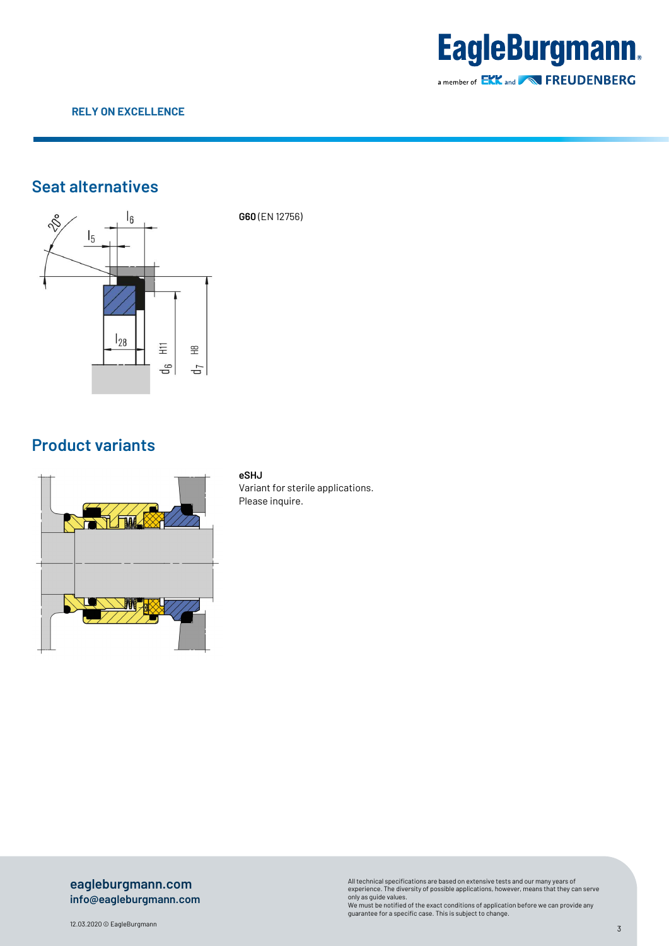

## **RELY ON EXCELLENCE**

# **Seat alternatives**



**G60** (EN 12756)

# **Product variants**



### **eSHJ**

Variant for sterile applications. Please inquire.

# **[eagleburgmann.com](https://www.eagleburgmann.com) [info@eagleburgmann.com](mailto:info@eagleburgmann.com)**

only as guide values. We must be notified of the exact conditions of application before we can provide any guarantee for a specific case. This is subject to change.